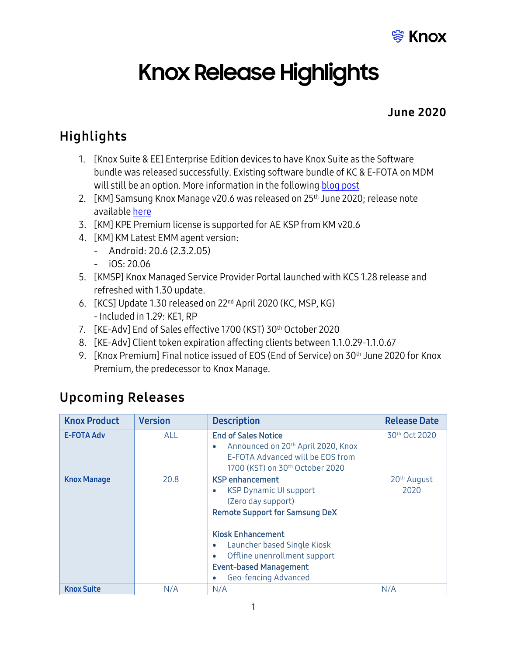

# **Knox Release Highlights**

#### June 2020

## Highlights

- 1. [Knox Suite & EE] Enterprise Edition devices to have Knox Suite as the Software bundle was released successfully. Existing software bundle of KC & E-FOTA on MDM will still be an option. More information in the followin[g blog post](https://www.samsungknox.com/en/blog/the-new-samsung-galaxy-enterprise-edition-now-with-knox-suite-1)
- 2. [KM] Samsung Knox Manage v20.6 was released on 25<sup>th</sup> June 2020; release note availabl[e here](https://docs.samsungknox.com/admin/knox-manage/release-notes/20-6.htm)
- 3. [KM] KPE Premium license is supported for AE KSP from KM v20.6
- 4. [KM] KM Latest EMM agent version:
	- Android: 20.6 (2.3.2.05)
	- iOS: 20.06
- 5. [KMSP] Knox Managed Service Provider Portal launched with KCS 1.28 release and refreshed with 1.30 update.
- 6. [KCS] Update 1.30 released on 22<sup>nd</sup> April 2020 (KC, MSP, KG) - Included in 1.29: KE1, RP
- 7. [KE-Adv] End of Sales effective 1700 (KST) 30th October 2020
- 8. [KE-Adv] Client token expiration affecting clients between 1.1.0.29-1.1.0.67
- 9. [Knox Premium] Final notice issued of EOS (End of Service) on 30<sup>th</sup> June 2020 for Knox Premium, the predecessor to Knox Manage.

#### Upcoming Releases

| <b>Knox Product</b> | <b>Version</b> | <b>Description</b>                                                                                                                                                                                                                                                                   | <b>Release Date</b>             |
|---------------------|----------------|--------------------------------------------------------------------------------------------------------------------------------------------------------------------------------------------------------------------------------------------------------------------------------------|---------------------------------|
| <b>E-FOTA Adv</b>   | <b>ALL</b>     | <b>End of Sales Notice</b><br>Announced on 20 <sup>th</sup> April 2020, Knox<br>$\bullet$<br>E-FOTA Advanced will be EOS from<br>1700 (KST) on 30 <sup>th</sup> October 2020                                                                                                         | 30th Oct 2020                   |
| <b>Knox Manage</b>  | 20.8           | <b>KSP</b> enhancement<br><b>KSP Dynamic UI support</b><br>۰<br>(Zero day support)<br><b>Remote Support for Samsung DeX</b><br><b>Kiosk Enhancement</b><br>Launcher based Single Kiosk<br>۰<br>Offline unenrollment support<br><b>Event-based Management</b><br>Geo-fencing Advanced | 20 <sup>th</sup> August<br>2020 |
| <b>Knox Suite</b>   | N/A            | N/A                                                                                                                                                                                                                                                                                  | N/A                             |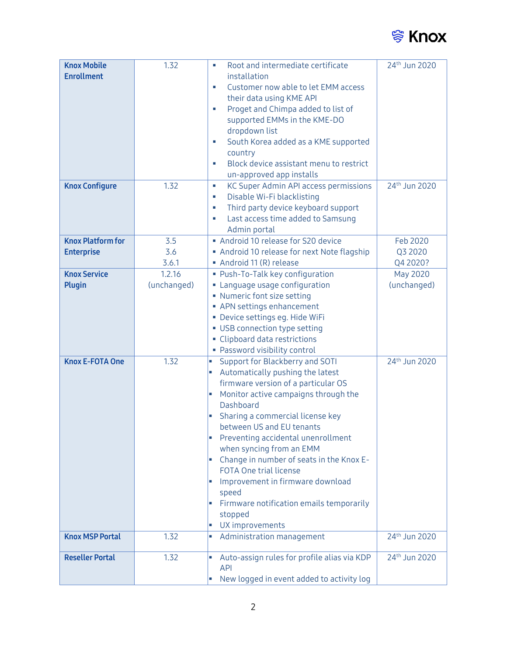

| <b>Knox Mobile</b>       | 1.32        | Root and intermediate certificate                                       | 24th Jun 2020             |
|--------------------------|-------------|-------------------------------------------------------------------------|---------------------------|
| <b>Enrollment</b>        |             | installation                                                            |                           |
|                          |             | Customer now able to let EMM access<br>×                                |                           |
|                          |             | their data using KME API                                                |                           |
|                          |             | Proget and Chimpa added to list of<br>×                                 |                           |
|                          |             | supported EMMs in the KME-DO                                            |                           |
|                          |             | dropdown list                                                           |                           |
|                          |             | South Korea added as a KME supported                                    |                           |
|                          |             | country                                                                 |                           |
|                          |             | Block device assistant menu to restrict<br>×                            |                           |
|                          |             | un-approved app installs                                                |                           |
| <b>Knox Configure</b>    | 1.32        | KC Super Admin API access permissions<br>$\mathcal{L}_{\mathcal{A}}$    | 24 <sup>th</sup> Jun 2020 |
|                          |             | Disable Wi-Fi blacklisting<br><b>C</b>                                  |                           |
|                          |             | Third party device keyboard support<br>u,                               |                           |
|                          |             | Last access time added to Samsung                                       |                           |
|                          |             | Admin portal                                                            |                           |
| <b>Knox Platform for</b> | 3.5         | Android 10 release for S20 device                                       | Feb 2020                  |
| <b>Enterprise</b>        | 3.6         | Android 10 release for next Note flagship                               | Q3 2020                   |
|                          | 3.6.1       | Android 11 (R) release                                                  | Q4 2020?                  |
| <b>Knox Service</b>      | 1.2.16      | · Push-To-Talk key configuration                                        | <b>May 2020</b>           |
| <b>Plugin</b>            | (unchanged) | • Language usage configuration                                          | (unchanged)               |
|                          |             | • Numeric font size setting                                             |                           |
|                          |             | • APN settings enhancement                                              |                           |
|                          |             | · Device settings eg. Hide WiFi                                         |                           |
|                          |             | • USB connection type setting                                           |                           |
|                          |             | • Clipboard data restrictions                                           |                           |
|                          |             | • Password visibility control                                           |                           |
| <b>Knox E-FOTA One</b>   | 1.32        | Support for Blackberry and SOTI<br>L.                                   | 24 <sup>th</sup> Jun 2020 |
|                          |             | Automatically pushing the latest<br>L,                                  |                           |
|                          |             | firmware version of a particular OS                                     |                           |
|                          |             | Monitor active campaigns through the<br>a,                              |                           |
|                          |             | Dashboard                                                               |                           |
|                          |             | Sharing a commercial license key                                        |                           |
|                          |             | between US and EU tenants                                               |                           |
|                          |             | Preventing accidental unenrollment                                      |                           |
|                          |             | when syncing from an EMM                                                |                           |
|                          |             | Change in number of seats in the Knox E-<br>a,                          |                           |
|                          |             | <b>FOTA One trial license</b>                                           |                           |
|                          |             | Improvement in firmware download<br>ш                                   |                           |
|                          |             | speed                                                                   |                           |
|                          |             | Firmware notification emails temporarily<br>$\mathcal{L}_{\mathcal{A}}$ |                           |
|                          |             | stopped                                                                 |                           |
|                          |             | UX improvements                                                         |                           |
| <b>Knox MSP Portal</b>   | 1.32        | Administration management<br>п                                          | 24th Jun 2020             |
| <b>Reseller Portal</b>   | 1.32        | Auto-assign rules for profile alias via KDP                             | 24 <sup>th</sup> Jun 2020 |
|                          |             | <b>API</b>                                                              |                           |
|                          |             | New logged in event added to activity log                               |                           |